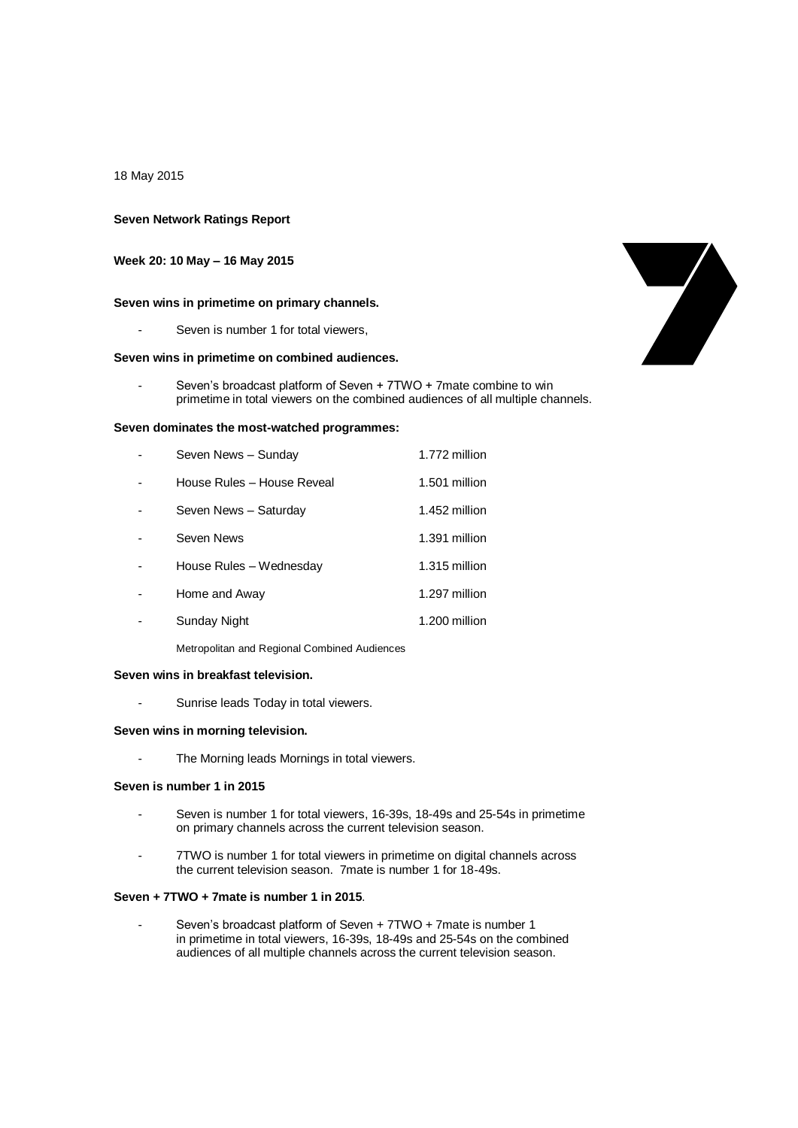### 18 May 2015

## **Seven Network Ratings Report**

## **Week 20: 10 May – 16 May 2015**

### **Seven wins in primetime on primary channels.**

Seven is number 1 for total viewers,

## **Seven wins in primetime on combined audiences.**

Seven's broadcast platform of Seven + 7TWO + 7mate combine to win primetime in total viewers on the combined audiences of all multiple channels.

### **Seven dominates the most-watched programmes:**

| Seven News - Sunday        | 1.772 million |
|----------------------------|---------------|
| House Rules - House Reveal | 1.501 million |
| Seven News - Saturday      | 1.452 million |
| Seven News                 | 1.391 million |
| House Rules - Wednesday    | 1.315 million |
| Home and Away              | 1.297 million |
| Sunday Night               | 1.200 million |
|                            |               |

Metropolitan and Regional Combined Audiences

#### **Seven wins in breakfast television.**

- Sunrise leads Today in total viewers.

# **Seven wins in morning television.**

The Morning leads Mornings in total viewers.

### **Seven is number 1 in 2015**

- Seven is number 1 for total viewers, 16-39s, 18-49s and 25-54s in primetime on primary channels across the current television season.
- 7TWO is number 1 for total viewers in primetime on digital channels across the current television season. 7mate is number 1 for 18-49s.

#### **Seven + 7TWO + 7mate is number 1 in 2015**.

Seven's broadcast platform of Seven + 7TWO + 7mate is number 1 in primetime in total viewers, 16-39s, 18-49s and 25-54s on the combined audiences of all multiple channels across the current television season.

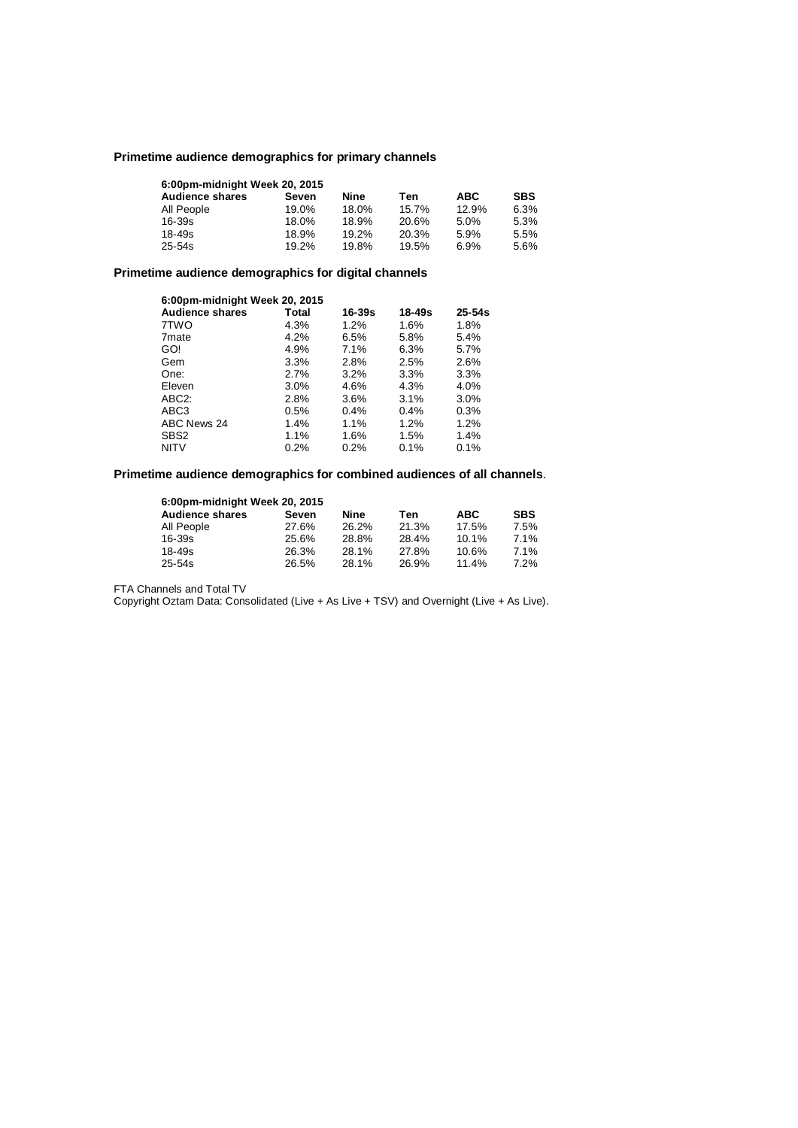# **Primetime audience demographics for primary channels**

| 6:00pm-midnight Week 20, 2015 |       |       |       |            |            |
|-------------------------------|-------|-------|-------|------------|------------|
| <b>Audience shares</b>        | Seven | Nine  | Ten   | <b>ABC</b> | <b>SBS</b> |
| All People                    | 19.0% | 18.0% | 15.7% | 12.9%      | 6.3%       |
| 16-39s                        | 18.0% | 18.9% | 20.6% | 5.0%       | 5.3%       |
| 18-49s                        | 18.9% | 19.2% | 20.3% | 5.9%       | 5.5%       |
| $25 - 54s$                    | 19.2% | 19.8% | 19.5% | 6.9%       | 5.6%       |

# **Primetime audience demographics for digital channels**

| 6:00pm-midnight Week 20, 2015 |         |        |        |            |  |
|-------------------------------|---------|--------|--------|------------|--|
| <b>Audience shares</b>        | Total   | 16-39s | 18-49s | $25 - 54s$ |  |
| 7TWO                          | 4.3%    | 1.2%   | 1.6%   | 1.8%       |  |
| 7 <sub>mate</sub>             | 4.2%    | 6.5%   | 5.8%   | 5.4%       |  |
| GO!                           | 4.9%    | 7.1%   | 6.3%   | 5.7%       |  |
| Gem                           | 3.3%    | 2.8%   | 2.5%   | 2.6%       |  |
| One:                          | 2.7%    | 3.2%   | 3.3%   | 3.3%       |  |
| Eleven                        | $3.0\%$ | 4.6%   | 4.3%   | 4.0%       |  |
| ABC <sub>2</sub> :            | 2.8%    | 3.6%   | 3.1%   | $3.0\%$    |  |
| ABC <sub>3</sub>              | 0.5%    | 0.4%   | 0.4%   | 0.3%       |  |
| ABC News 24                   | 1.4%    | 1.1%   | 1.2%   | 1.2%       |  |
| SBS <sub>2</sub>              | 1.1%    | 1.6%   | 1.5%   | 1.4%       |  |
| <b>NITV</b>                   | $0.2\%$ | 0.2%   | 0.1%   | 0.1%       |  |

# **Primetime audience demographics for combined audiences of all channels**.

| 6:00pm-midnight Week 20, 2015 |       |       |       |            |            |
|-------------------------------|-------|-------|-------|------------|------------|
| <b>Audience shares</b>        | Seven | Nine  | Ten   | <b>ABC</b> | <b>SBS</b> |
| All People                    | 27.6% | 26.2% | 21.3% | 17.5%      | 7.5%       |
| 16-39s                        | 25.6% | 28.8% | 28.4% | $10.1\%$   | 7.1%       |
| 18-49s                        | 26.3% | 28.1% | 27.8% | 10.6%      | 7.1%       |
| $25 - 54s$                    | 26.5% | 28.1% | 26.9% | 11.4%      | 7.2%       |

FTA Channels and Total TV

Copyright Oztam Data: Consolidated (Live + As Live + TSV) and Overnight (Live + As Live).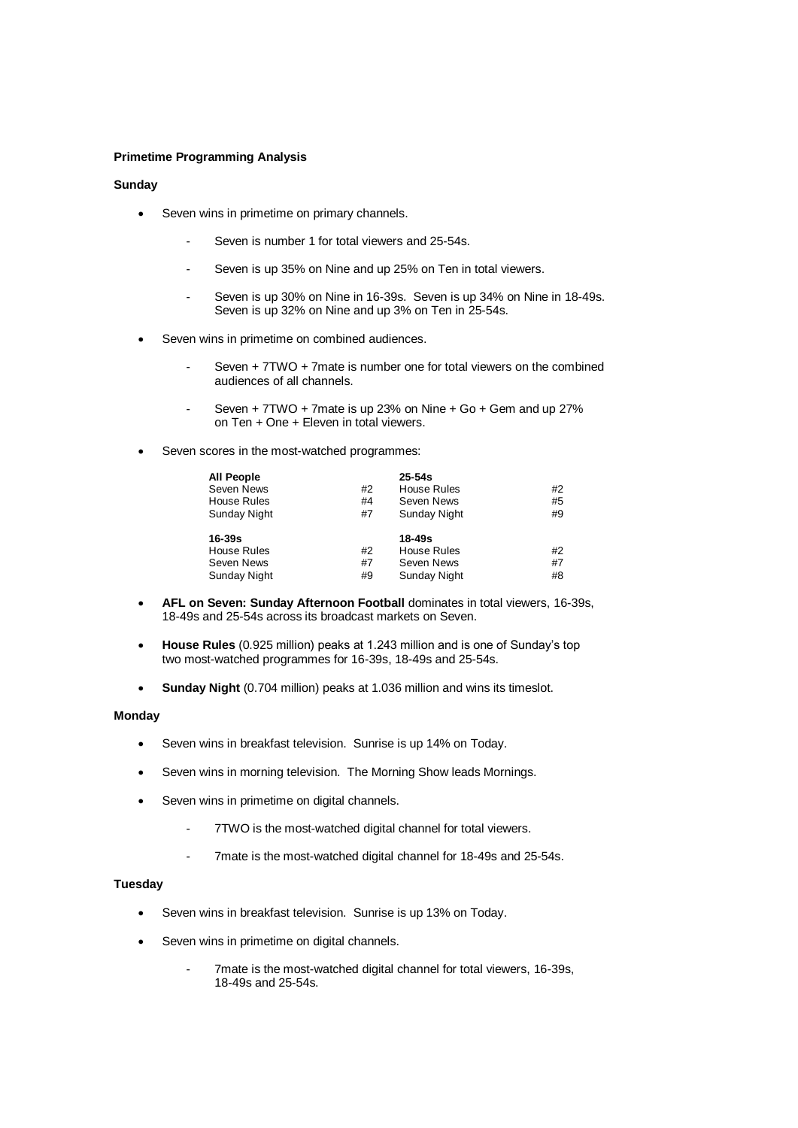# **Primetime Programming Analysis**

# **Sunday**

- Seven wins in primetime on primary channels.
	- Seven is number 1 for total viewers and 25-54s.
	- Seven is up 35% on Nine and up 25% on Ten in total viewers.
	- Seven is up 30% on Nine in 16-39s. Seven is up 34% on Nine in 18-49s. Seven is up 32% on Nine and up 3% on Ten in 25-54s.
- Seven wins in primetime on combined audiences.
	- Seven + 7TWO + 7mate is number one for total viewers on the combined audiences of all channels.
	- Seven + 7TWO + 7mate is up 23% on Nine + Go + Gem and up 27% on Ten + One + Eleven in total viewers.
- Seven scores in the most-watched programmes:

| <b>All People</b>   |    | $25 - 54s$          |    |
|---------------------|----|---------------------|----|
| Seven News          | #2 | <b>House Rules</b>  | #2 |
| <b>House Rules</b>  | #4 | Seven News          | #5 |
| <b>Sunday Night</b> | #7 | <b>Sunday Night</b> | #9 |
| 16-39s              |    | 18-49s              |    |
| <b>House Rules</b>  | #2 | House Rules         | #2 |
| Seven News          | #7 | Seven News          | #7 |
| <b>Sunday Night</b> | #9 | Sunday Night        | #8 |

- **AFL on Seven: Sunday Afternoon Football** dominates in total viewers, 16-39s, 18-49s and 25-54s across its broadcast markets on Seven.
- **House Rules** (0.925 million) peaks at 1.243 million and is one of Sunday's top two most-watched programmes for 16-39s, 18-49s and 25-54s.
- **Sunday Night** (0.704 million) peaks at 1.036 million and wins its timeslot.

# **Monday**

- Seven wins in breakfast television. Sunrise is up 14% on Today.
- Seven wins in morning television. The Morning Show leads Mornings.
- Seven wins in primetime on digital channels.
	- 7TWO is the most-watched digital channel for total viewers.
	- 7mate is the most-watched digital channel for 18-49s and 25-54s.

## **Tuesday**

- Seven wins in breakfast television. Sunrise is up 13% on Today.
- Seven wins in primetime on digital channels.
	- 7mate is the most-watched digital channel for total viewers, 16-39s, 18-49s and 25-54s.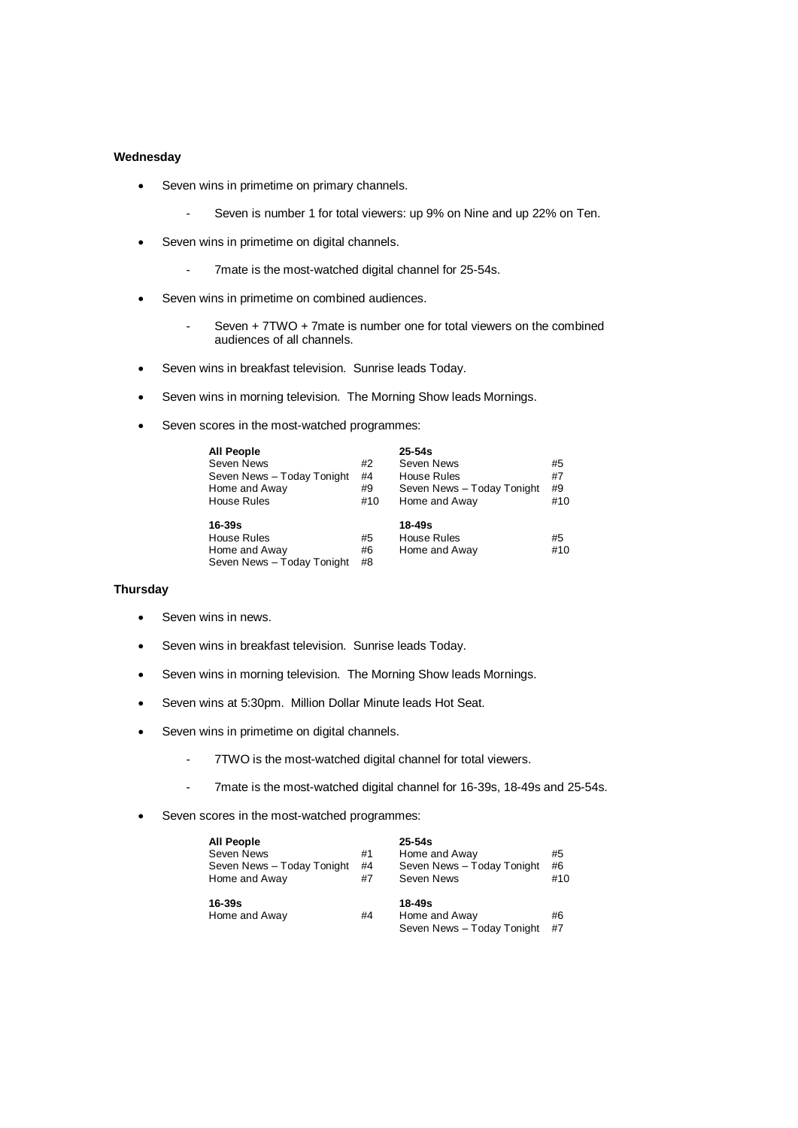# **Wednesday**

- Seven wins in primetime on primary channels.
	- Seven is number 1 for total viewers: up 9% on Nine and up 22% on Ten.
- Seven wins in primetime on digital channels.
	- 7mate is the most-watched digital channel for 25-54s.
- Seven wins in primetime on combined audiences.
	- Seven + 7TWO + 7mate is number one for total viewers on the combined audiences of all channels.
- Seven wins in breakfast television. Sunrise leads Today.
- Seven wins in morning television. The Morning Show leads Mornings.
- Seven scores in the most-watched programmes:

| <b>All People</b><br>Seven News<br>Seven News - Today Tonight<br>Home and Away<br><b>House Rules</b> | #2<br>#4<br>#9<br>#10 | $25 - 54s$<br>Seven News<br><b>House Rules</b><br>Seven News - Today Tonight<br>Home and Away | #5<br>#7<br>#9<br>#10 |
|------------------------------------------------------------------------------------------------------|-----------------------|-----------------------------------------------------------------------------------------------|-----------------------|
| $16 - 39s$<br>House Rules<br>Home and Away<br>Seven News - Today Tonight                             | #5<br>#6<br>#8        | $18 - 49s$<br>House Rules<br>Home and Away                                                    | #5<br>#10             |

## **Thursday**

- Seven wins in news.
- Seven wins in breakfast television. Sunrise leads Today.
- Seven wins in morning television. The Morning Show leads Mornings.
- Seven wins at 5:30pm. Million Dollar Minute leads Hot Seat.
- Seven wins in primetime on digital channels.
	- 7TWO is the most-watched digital channel for total viewers.
	- 7mate is the most-watched digital channel for 16-39s, 18-49s and 25-54s.
- Seven scores in the most-watched programmes:

| <b>All People</b>           |    | $25 - 54s$                                            |          |
|-----------------------------|----|-------------------------------------------------------|----------|
| Seven News                  | #1 | Home and Away                                         | #5       |
| Seven News - Today Tonight  | #4 | Seven News - Today Tonight                            | #6       |
| Home and Away               | #7 | Seven News                                            | #10      |
| $16 - 39s$<br>Home and Away | #4 | 18-49s<br>Home and Away<br>Seven News - Today Tonight | #6<br>#7 |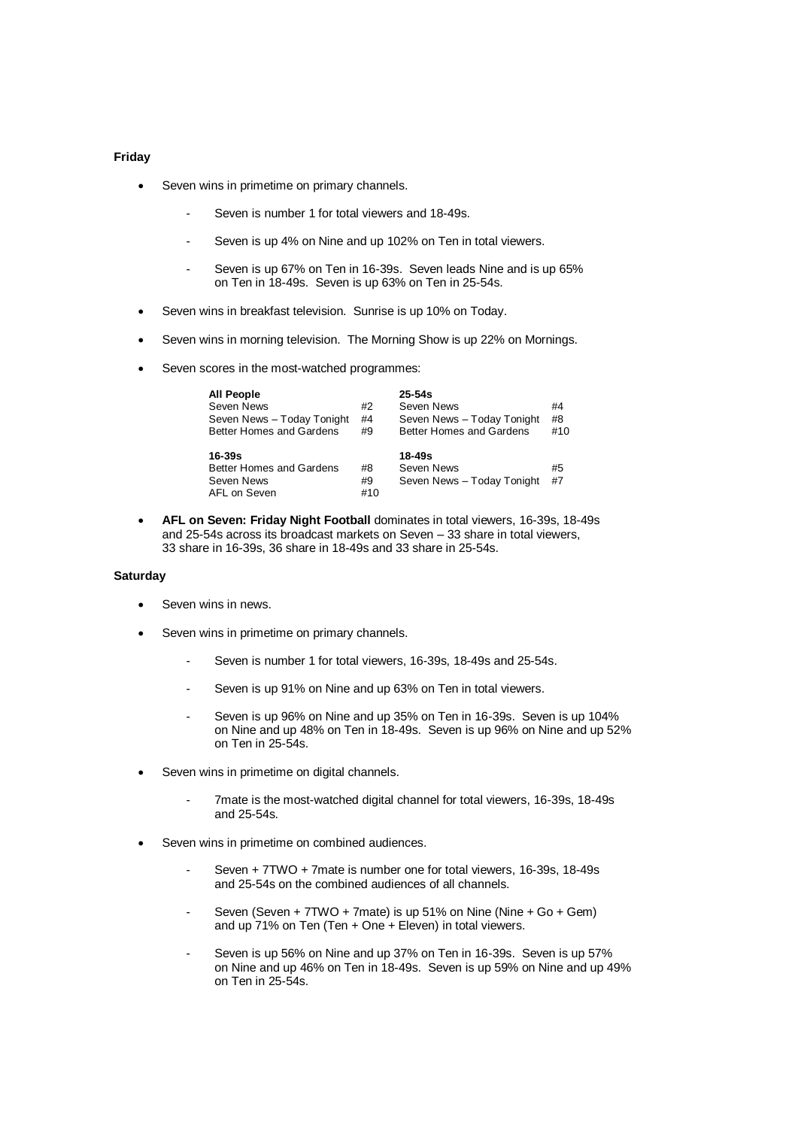# **Friday**

- Seven wins in primetime on primary channels.
	- Seven is number 1 for total viewers and 18-49s.
	- Seven is up 4% on Nine and up 102% on Ten in total viewers.
	- Seven is up 67% on Ten in 16-39s. Seven leads Nine and is up 65% on Ten in 18-49s. Seven is up 63% on Ten in 25-54s.
- Seven wins in breakfast television. Sunrise is up 10% on Today.
- Seven wins in morning television. The Morning Show is up 22% on Mornings.
- Seven scores in the most-watched programmes:

| All People<br>Seven News   | #2 | $25 - 54s$<br>Seven News   | #4  |
|----------------------------|----|----------------------------|-----|
| Seven News - Today Tonight | #4 | Seven News - Today Tonight | #8  |
| Better Homes and Gardens   | #9 | Better Homes and Gardens   | #10 |
| $16 - 39s$                 |    | $18 - 49s$                 |     |
|                            |    |                            |     |
| Better Homes and Gardens   | #8 | Seven News                 | #5  |
| Seven News                 | #9 | Seven News - Today Tonight | #7  |

 **AFL on Seven: Friday Night Football** dominates in total viewers, 16-39s, 18-49s and 25-54s across its broadcast markets on Seven – 33 share in total viewers, 33 share in 16-39s, 36 share in 18-49s and 33 share in 25-54s.

### **Saturday**

- Seven wins in news.
- Seven wins in primetime on primary channels.
	- Seven is number 1 for total viewers, 16-39s, 18-49s and 25-54s.
	- Seven is up 91% on Nine and up 63% on Ten in total viewers.
	- Seven is up 96% on Nine and up 35% on Ten in 16-39s. Seven is up 104% on Nine and up 48% on Ten in 18-49s. Seven is up 96% on Nine and up 52% on Ten in 25-54s.
- Seven wins in primetime on digital channels.
	- 7mate is the most-watched digital channel for total viewers, 16-39s, 18-49s and 25-54s.
- Seven wins in primetime on combined audiences.
	- Seven + 7TWO + 7mate is number one for total viewers, 16-39s, 18-49s and 25-54s on the combined audiences of all channels.
	- Seven (Seven +  $7TWO + 7m$ ate) is up  $51\%$  on Nine (Nine + Go + Gem) and up  $71\%$  on Ten (Ten + One + Eleven) in total viewers.
	- Seven is up 56% on Nine and up 37% on Ten in 16-39s. Seven is up 57% on Nine and up 46% on Ten in 18-49s. Seven is up 59% on Nine and up 49% on Ten in 25-54s.